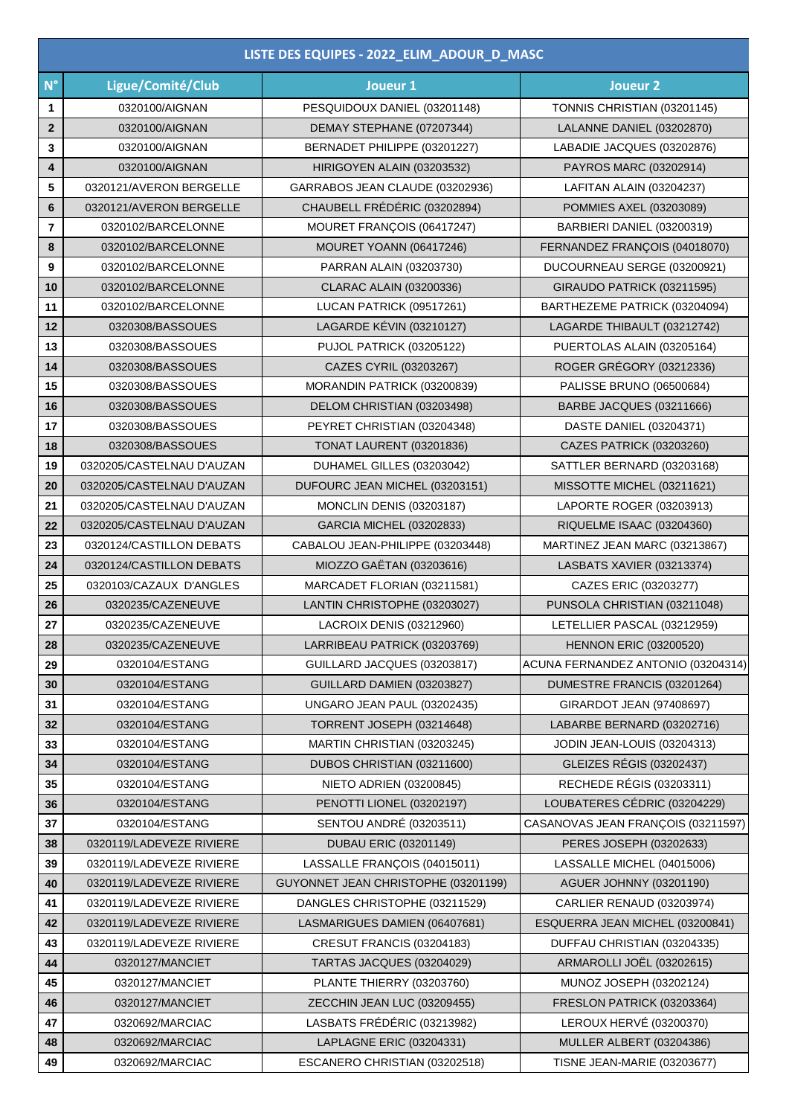| LISTE DES EQUIPES - 2022_ELIM_ADOUR_D_MASC |                           |                                     |                                    |  |  |
|--------------------------------------------|---------------------------|-------------------------------------|------------------------------------|--|--|
| $N^{\circ}$                                | Ligue/Comité/Club         | Joueur 1                            | Joueur <sub>2</sub>                |  |  |
| 1                                          | 0320100/AIGNAN            | PESQUIDOUX DANIEL (03201148)        | TONNIS CHRISTIAN (03201145)        |  |  |
| $\mathbf{2}$                               | 0320100/AIGNAN            | DEMAY STEPHANE (07207344)           | LALANNE DANIEL (03202870)          |  |  |
| 3                                          | 0320100/AIGNAN            | BERNADET PHILIPPE (03201227)        | LABADIE JACQUES (03202876)         |  |  |
| 4                                          | 0320100/AIGNAN            | HIRIGOYEN ALAIN (03203532)          | PAYROS MARC (03202914)             |  |  |
| 5                                          | 0320121/AVERON BERGELLE   | GARRABOS JEAN CLAUDE (03202936)     | LAFITAN ALAIN (03204237)           |  |  |
| 6                                          | 0320121/AVERON BERGELLE   | CHAUBELL FRÉDÉRIC (03202894)        | POMMIES AXEL (03203089)            |  |  |
| $\overline{7}$                             | 0320102/BARCELONNE        | MOURET FRANÇOIS (06417247)          | BARBIERI DANIEL (03200319)         |  |  |
| 8                                          | 0320102/BARCELONNE        | MOURET YOANN (06417246)             | FERNANDEZ FRANÇOIS (04018070)      |  |  |
| 9                                          | 0320102/BARCELONNE        | PARRAN ALAIN (03203730)             | DUCOURNEAU SERGE (03200921)        |  |  |
| 10                                         | 0320102/BARCELONNE        | CLARAC ALAIN (03200336)             | GIRAUDO PATRICK (03211595)         |  |  |
| 11                                         | 0320102/BARCELONNE        | LUCAN PATRICK (09517261)            | BARTHEZEME PATRICK (03204094)      |  |  |
| 12                                         | 0320308/BASSOUES          | LAGARDE KÉVIN (03210127)            | LAGARDE THIBAULT (03212742)        |  |  |
| 13                                         | 0320308/BASSOUES          | PUJOL PATRICK (03205122)            | PUERTOLAS ALAIN (03205164)         |  |  |
| 14                                         | 0320308/BASSOUES          | CAZES CYRIL (03203267)              | ROGER GRÉGORY (03212336)           |  |  |
| 15                                         | 0320308/BASSOUES          | MORANDIN PATRICK (03200839)         | PALISSE BRUNO (06500684)           |  |  |
| 16                                         | 0320308/BASSOUES          | DELOM CHRISTIAN (03203498)          | BARBE JACQUES (03211666)           |  |  |
| 17                                         | 0320308/BASSOUES          | PEYRET CHRISTIAN (03204348)         | DASTE DANIEL (03204371)            |  |  |
| 18                                         | 0320308/BASSOUES          | <b>TONAT LAURENT (03201836)</b>     | CAZES PATRICK (03203260)           |  |  |
| 19                                         | 0320205/CASTELNAU D'AUZAN | DUHAMEL GILLES (03203042)           | SATTLER BERNARD (03203168)         |  |  |
| 20                                         | 0320205/CASTELNAU D'AUZAN | DUFOURC JEAN MICHEL (03203151)      | MISSOTTE MICHEL (03211621)         |  |  |
| 21                                         | 0320205/CASTELNAU D'AUZAN | <b>MONCLIN DENIS (03203187)</b>     | LAPORTE ROGER (03203913)           |  |  |
| 22                                         | 0320205/CASTELNAU D'AUZAN | GARCIA MICHEL (03202833)            | RIQUELME ISAAC (03204360)          |  |  |
| 23                                         | 0320124/CASTILLON DEBATS  | CABALOU JEAN-PHILIPPE (03203448)    | MARTINEZ JEAN MARC (03213867)      |  |  |
| 24                                         | 0320124/CASTILLON DEBATS  | MIOZZO GAËTAN (03203616)            | LASBATS XAVIER (03213374)          |  |  |
| 25                                         | 0320103/CAZAUX D'ANGLES   | MARCADET FLORIAN (03211581)         | CAZES ERIC (03203277)              |  |  |
| 26                                         | 0320235/CAZENEUVE         | LANTIN CHRISTOPHE (03203027)        | PUNSOLA CHRISTIAN (03211048)       |  |  |
| 27                                         | 0320235/CAZENEUVE         | LACROIX DENIS (03212960)            | LETELLIER PASCAL (03212959)        |  |  |
| 28                                         | 0320235/CAZENEUVE         | LARRIBEAU PATRICK (03203769)        | <b>HENNON ERIC (03200520)</b>      |  |  |
| 29                                         | 0320104/ESTANG            | GUILLARD JACQUES (03203817)         | ACUNA FERNANDEZ ANTONIO (03204314) |  |  |
| 30                                         | 0320104/ESTANG            | GUILLARD DAMIEN (03203827)          | DUMESTRE FRANCIS (03201264)        |  |  |
| 31                                         | 0320104/ESTANG            | UNGARO JEAN PAUL (03202435)         | GIRARDOT JEAN (97408697)           |  |  |
| 32                                         | 0320104/ESTANG            | <b>TORRENT JOSEPH (03214648)</b>    | LABARBE BERNARD (03202716)         |  |  |
| 33                                         | 0320104/ESTANG            | MARTIN CHRISTIAN (03203245)         | JODIN JEAN-LOUIS (03204313)        |  |  |
| 34                                         | 0320104/ESTANG            | DUBOS CHRISTIAN (03211600)          | GLEIZES RÉGIS (03202437)           |  |  |
| 35                                         | 0320104/ESTANG            | <b>NIETO ADRIEN (03200845)</b>      | RECHEDE RÉGIS (03203311)           |  |  |
| 36                                         | 0320104/ESTANG            | PENOTTI LIONEL (03202197)           | LOUBATERES CÉDRIC (03204229)       |  |  |
| 37                                         | 0320104/ESTANG            | SENTOU ANDRÉ (03203511)             | CASANOVAS JEAN FRANÇOIS (03211597) |  |  |
| 38                                         | 0320119/LADEVEZE RIVIERE  | <b>DUBAU ERIC (03201149)</b>        | PERES JOSEPH (03202633)            |  |  |
| 39                                         | 0320119/LADEVEZE RIVIERE  | LASSALLE FRANÇOIS (04015011)        | LASSALLE MICHEL (04015006)         |  |  |
| 40                                         | 0320119/LADEVEZE RIVIERE  | GUYONNET JEAN CHRISTOPHE (03201199) | <b>AGUER JOHNNY (03201190)</b>     |  |  |
| 41                                         | 0320119/LADEVEZE RIVIERE  | DANGLES CHRISTOPHE (03211529)       | CARLIER RENAUD (03203974)          |  |  |
| 42                                         | 0320119/LADEVEZE RIVIERE  | LASMARIGUES DAMIEN (06407681)       | ESQUERRA JEAN MICHEL (03200841)    |  |  |
| 43                                         | 0320119/LADEVEZE RIVIERE  | CRESUT FRANCIS (03204183)           | DUFFAU CHRISTIAN (03204335)        |  |  |
| 44                                         | 0320127/MANCIET           | TARTAS JACQUES (03204029)           | ARMAROLLI JOËL (03202615)          |  |  |
| 45                                         | 0320127/MANCIET           | PLANTE THIERRY (03203760)           | MUNOZ JOSEPH (03202124)            |  |  |
| 46                                         | 0320127/MANCIET           | ZECCHIN JEAN LUC (03209455)         | FRESLON PATRICK (03203364)         |  |  |
| 47                                         | 0320692/MARCIAC           | LASBATS FRÉDÉRIC (03213982)         | LEROUX HERVÉ (03200370)            |  |  |
| 48                                         | 0320692/MARCIAC           | LAPLAGNE ERIC (03204331)            | <b>MULLER ALBERT (03204386)</b>    |  |  |
| 49                                         | 0320692/MARCIAC           | ESCANERO CHRISTIAN (03202518)       | <b>TISNE JEAN-MARIE (03203677)</b> |  |  |